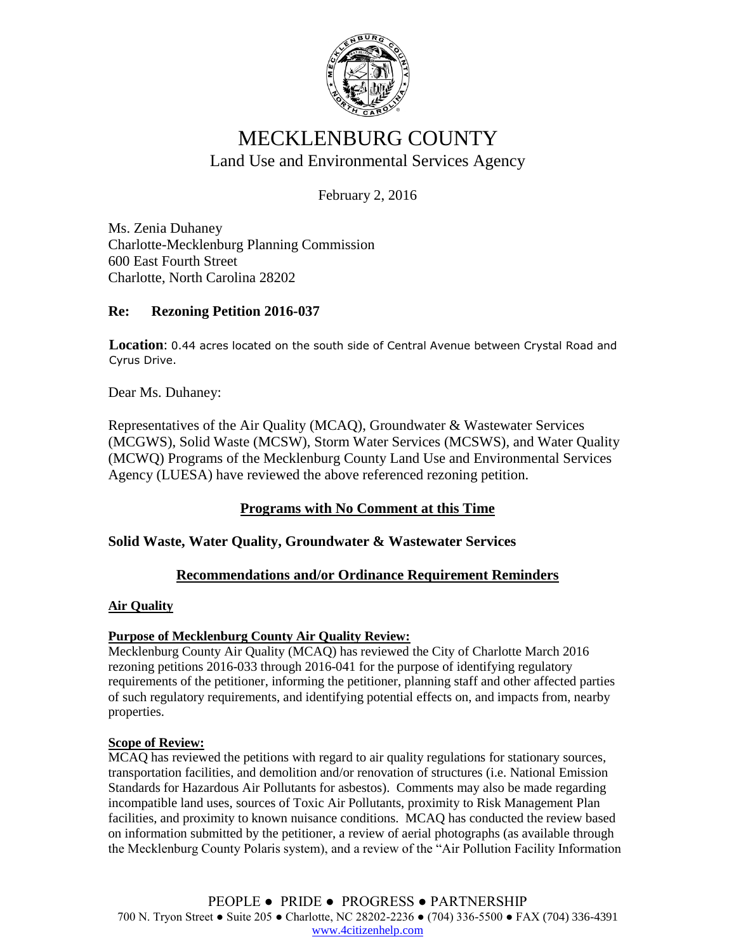

# MECKLENBURG COUNTY Land Use and Environmental Services Agency

February 2, 2016

Ms. Zenia Duhaney Charlotte-Mecklenburg Planning Commission 600 East Fourth Street Charlotte, North Carolina 28202

## **Re: Rezoning Petition 2016-037**

**Location**: 0.44 acres located on the south side of Central Avenue between Crystal Road and Cyrus Drive.

Dear Ms. Duhaney:

Representatives of the Air Quality (MCAQ), Groundwater & Wastewater Services (MCGWS), Solid Waste (MCSW), Storm Water Services (MCSWS), and Water Quality (MCWQ) Programs of the Mecklenburg County Land Use and Environmental Services Agency (LUESA) have reviewed the above referenced rezoning petition.

## **Programs with No Comment at this Time**

## **Solid Waste, Water Quality, Groundwater & Wastewater Services**

## **Recommendations and/or Ordinance Requirement Reminders**

#### **Air Quality**

## **Purpose of Mecklenburg County Air Quality Review:**

Mecklenburg County Air Quality (MCAQ) has reviewed the City of Charlotte March 2016 rezoning petitions 2016-033 through 2016-041 for the purpose of identifying regulatory requirements of the petitioner, informing the petitioner, planning staff and other affected parties of such regulatory requirements, and identifying potential effects on, and impacts from, nearby properties.

#### **Scope of Review:**

MCAQ has reviewed the petitions with regard to air quality regulations for stationary sources, transportation facilities, and demolition and/or renovation of structures (i.e. National Emission Standards for Hazardous Air Pollutants for asbestos). Comments may also be made regarding incompatible land uses, sources of Toxic Air Pollutants, proximity to Risk Management Plan facilities, and proximity to known nuisance conditions. MCAQ has conducted the review based on information submitted by the petitioner, a review of aerial photographs (as available through the Mecklenburg County Polaris system), and a review of the "Air Pollution Facility Information